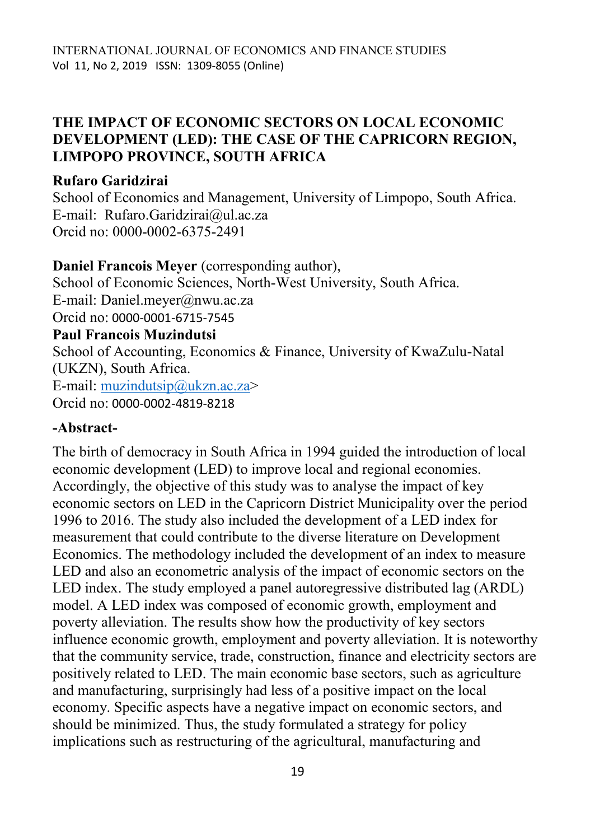### **THE IMPACT OF ECONOMIC SECTORS ON LOCAL ECONOMIC DEVELOPMENT (LED): THE CASE OF THE CAPRICORN REGION, LIMPOPO PROVINCE, SOUTH AFRICA**

### **Rufaro Garidzirai**

School of Economics and Management, University of Limpopo, South Africa. E-mail: [Rufaro.Garidzirai@ul.ac.za](mailto:%20Rufaro.Garidzirai@ul.ac.za) Orcid no: 0000-0002-6375-2491

**Daniel Francois Meyer** (corresponding author), School of Economic Sciences, North-West University, South Africa. E-mail: [Daniel.meyer@nwu.ac.za](mailto:Daniel.meyer@nwu.ac.za) Orcid no: 0000-0001-6715-7545 **Paul Francois Muzindutsi** School of Accounting, Economics & Finance, University of KwaZulu-Natal (UKZN), South Africa. E-mail: [muzindutsip@ukzn.ac.za>](mailto:muzindutsip@ukzn.ac.za) Orcid no: 0000-0002-4819-8218

### **-Abstract-**

The birth of democracy in South Africa in 1994 guided the introduction of local economic development (LED) to improve local and regional economies. Accordingly, the objective of this study was to analyse the impact of key economic sectors on LED in the Capricorn District Municipality over the period 1996 to 2016. The study also included the development of a LED index for measurement that could contribute to the diverse literature on Development Economics. The methodology included the development of an index to measure LED and also an econometric analysis of the impact of economic sectors on the LED index. The study employed a panel autoregressive distributed lag (ARDL) model. A LED index was composed of economic growth, employment and poverty alleviation. The results show how the productivity of key sectors influence economic growth, employment and poverty alleviation. It is noteworthy that the community service, trade, construction, finance and electricity sectors are positively related to LED. The main economic base sectors, such as agriculture and manufacturing, surprisingly had less of a positive impact on the local economy. Specific aspects have a negative impact on economic sectors, and should be minimized. Thus, the study formulated a strategy for policy implications such as restructuring of the agricultural, manufacturing and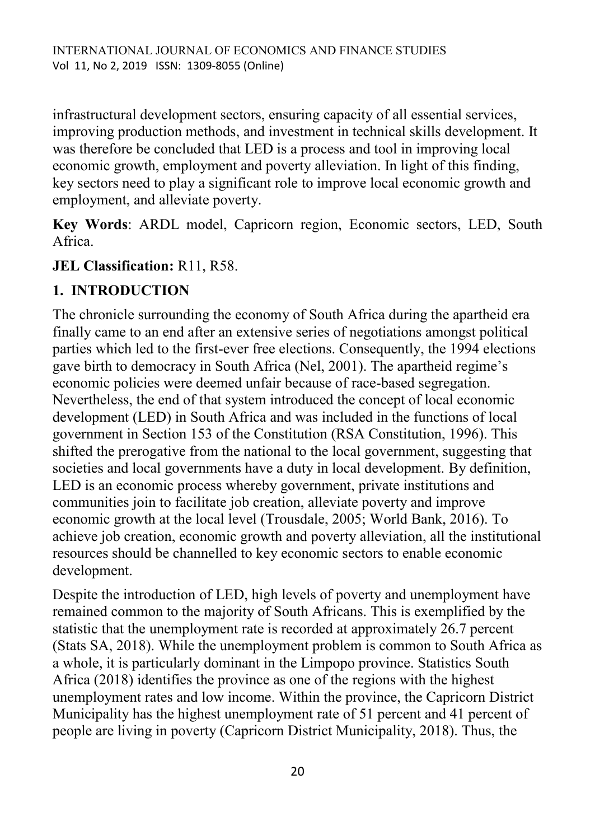infrastructural development sectors, ensuring capacity of all essential services, improving production methods, and investment in technical skills development. It was therefore be concluded that LED is a process and tool in improving local economic growth, employment and poverty alleviation. In light of this finding, key sectors need to play a significant role to improve local economic growth and employment, and alleviate poverty.

**Key Words**: ARDL model, Capricorn region, Economic sectors, LED, South Africa.

### **JEL Classification:** R11, R58.

# **1. INTRODUCTION**

The chronicle surrounding the economy of South Africa during the apartheid era finally came to an end after an extensive series of negotiations amongst political parties which led to the first-ever free elections. Consequently, the 1994 elections gave birth to democracy in South Africa (Nel, 2001). The apartheid regime's economic policies were deemed unfair because of race-based segregation. Nevertheless, the end of that system introduced the concept of local economic development (LED) in South Africa and was included in the functions of local government in Section 153 of the Constitution (RSA Constitution, 1996). This shifted the prerogative from the national to the local government, suggesting that societies and local governments have a duty in local development. By definition, LED is an economic process whereby government, private institutions and communities join to facilitate job creation, alleviate poverty and improve economic growth at the local level (Trousdale, 2005; World Bank, 2016). To achieve job creation, economic growth and poverty alleviation, all the institutional resources should be channelled to key economic sectors to enable economic development.

Despite the introduction of LED, high levels of poverty and unemployment have remained common to the majority of South Africans. This is exemplified by the statistic that the unemployment rate is recorded at approximately 26.7 percent (Stats SA, 2018). While the unemployment problem is common to South Africa as a whole, it is particularly dominant in the Limpopo province. Statistics South Africa (2018) identifies the province as one of the regions with the highest unemployment rates and low income. Within the province, the Capricorn District Municipality has the highest unemployment rate of 51 percent and 41 percent of people are living in poverty (Capricorn District Municipality, 2018). Thus, the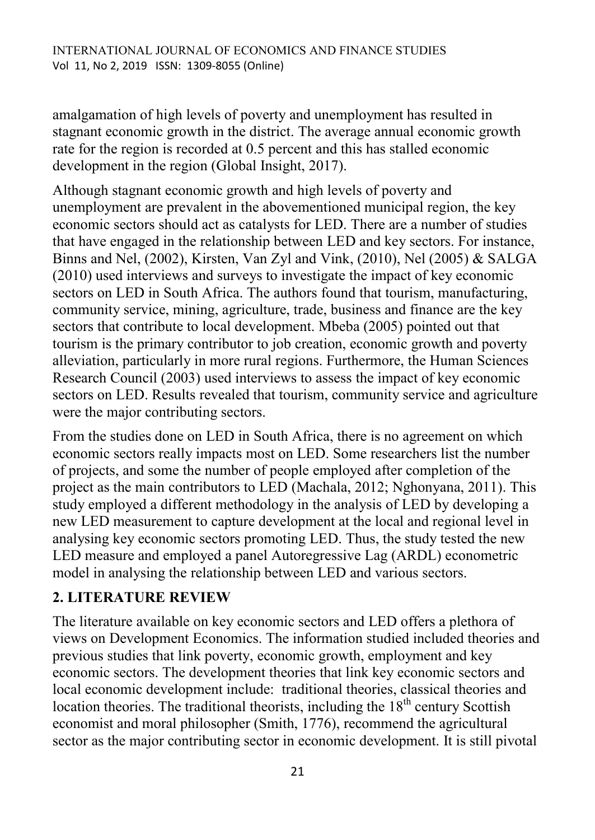amalgamation of high levels of poverty and unemployment has resulted in stagnant economic growth in the district. The average annual economic growth rate for the region is recorded at 0.5 percent and this has stalled economic development in the region (Global Insight, 2017).

Although stagnant economic growth and high levels of poverty and unemployment are prevalent in the abovementioned municipal region, the key economic sectors should act as catalysts for LED. There are a number of studies that have engaged in the relationship between LED and key sectors. For instance, Binns and Nel, (2002), Kirsten, Van Zyl and Vink, (2010), Nel (2005) & SALGA (2010) used interviews and surveys to investigate the impact of key economic sectors on LED in South Africa. The authors found that tourism, manufacturing, community service, mining, agriculture, trade, business and finance are the key sectors that contribute to local development. Mbeba (2005) pointed out that tourism is the primary contributor to job creation, economic growth and poverty alleviation, particularly in more rural regions. Furthermore, the Human Sciences Research Council (2003) used interviews to assess the impact of key economic sectors on LED. Results revealed that tourism, community service and agriculture were the major contributing sectors.

From the studies done on LED in South Africa, there is no agreement on which economic sectors really impacts most on LED. Some researchers list the number of projects, and some the number of people employed after completion of the project as the main contributors to LED (Machala, 2012; Nghonyana, 2011). This study employed a different methodology in the analysis of LED by developing a new LED measurement to capture development at the local and regional level in analysing key economic sectors promoting LED. Thus, the study tested the new LED measure and employed a panel Autoregressive Lag (ARDL) econometric model in analysing the relationship between LED and various sectors.

### **2. LITERATURE REVIEW**

The literature available on key economic sectors and LED offers a plethora of views on Development Economics. The information studied included theories and previous studies that link poverty, economic growth, employment and key economic sectors. The development theories that link key economic sectors and local economic development include: traditional theories, classical theories and location theories. The traditional theorists, including the  $18<sup>th</sup>$  century Scottish economist and moral philosopher (Smith, 1776), recommend the agricultural sector as the major contributing sector in economic development. It is still pivotal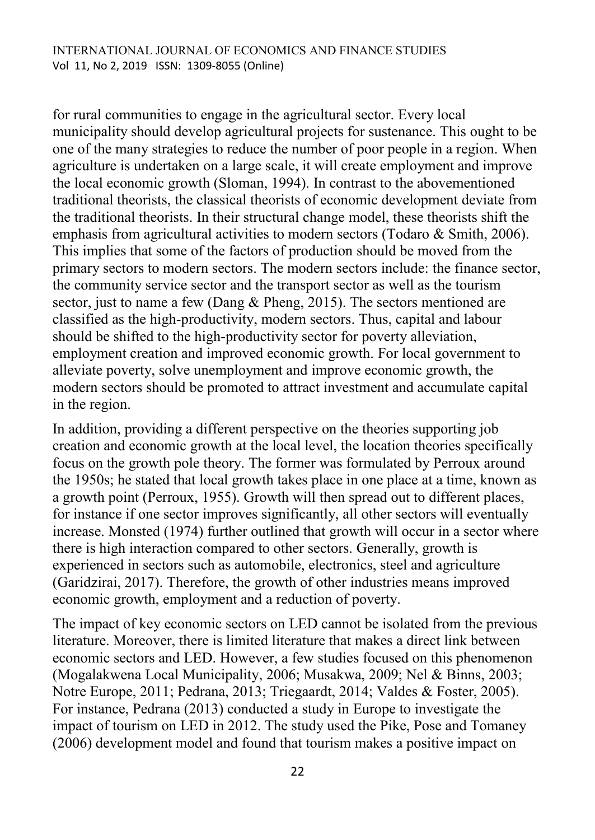for rural communities to engage in the agricultural sector. Every local municipality should develop agricultural projects for sustenance. This ought to be one of the many strategies to reduce the number of poor people in a region. When agriculture is undertaken on a large scale, it will create employment and improve the local economic growth (Sloman, 1994). In contrast to the abovementioned traditional theorists, the classical theorists of economic development deviate from the traditional theorists. In their structural change model, these theorists shift the emphasis from agricultural activities to modern sectors (Todaro & Smith, 2006). This implies that some of the factors of production should be moved from the primary sectors to modern sectors. The modern sectors include: the finance sector, the community service sector and the transport sector as well as the tourism sector, just to name a few (Dang & Pheng, 2015). The sectors mentioned are classified as the high-productivity, modern sectors. Thus, capital and labour should be shifted to the high-productivity sector for poverty alleviation, employment creation and improved economic growth. For local government to alleviate poverty, solve unemployment and improve economic growth, the modern sectors should be promoted to attract investment and accumulate capital in the region.

In addition, providing a different perspective on the theories supporting job creation and economic growth at the local level, the location theories specifically focus on the growth pole theory. The former was formulated by Perroux around the 1950s; he stated that local growth takes place in one place at a time, known as a growth point (Perroux, 1955). Growth will then spread out to different places, for instance if one sector improves significantly, all other sectors will eventually increase. Monsted (1974) further outlined that growth will occur in a sector where there is high interaction compared to other sectors. Generally, growth is experienced in sectors such as automobile, electronics, steel and agriculture (Garidzirai, 2017). Therefore, the growth of other industries means improved economic growth, employment and a reduction of poverty.

The impact of key economic sectors on LED cannot be isolated from the previous literature. Moreover, there is limited literature that makes a direct link between economic sectors and LED. However, a few studies focused on this phenomenon (Mogalakwena Local Municipality, 2006; Musakwa, 2009; Nel & Binns, 2003; Notre Europe, 2011; Pedrana, 2013; Triegaardt, 2014; Valdes & Foster, 2005). For instance, Pedrana (2013) conducted a study in Europe to investigate the impact of tourism on LED in 2012. The study used the Pike, Pose and Tomaney (2006) development model and found that tourism makes a positive impact on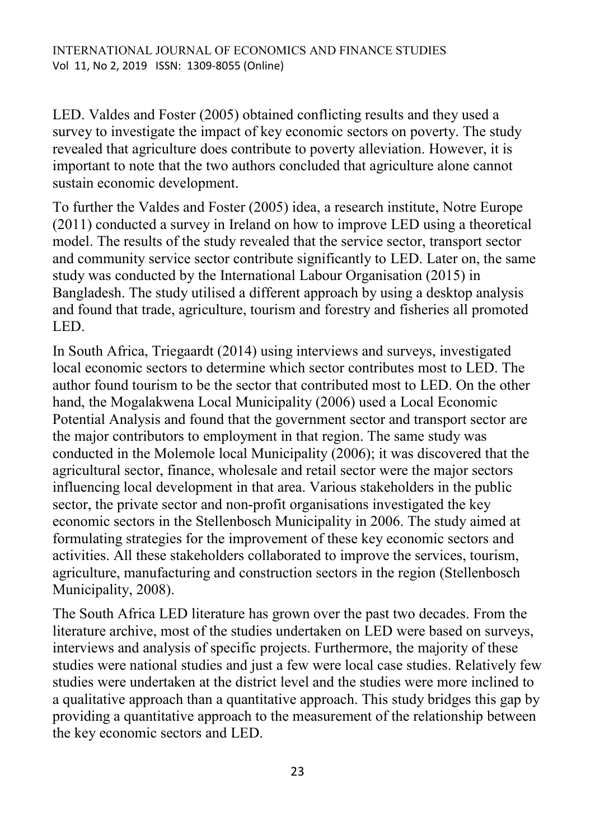LED. Valdes and Foster (2005) obtained conflicting results and they used a survey to investigate the impact of key economic sectors on poverty. The study revealed that agriculture does contribute to poverty alleviation. However, it is important to note that the two authors concluded that agriculture alone cannot sustain economic development.

To further the Valdes and Foster (2005) idea, a research institute, Notre Europe (2011) conducted a survey in Ireland on how to improve LED using a theoretical model. The results of the study revealed that the service sector, transport sector and community service sector contribute significantly to LED. Later on, the same study was conducted by the International Labour Organisation (2015) in Bangladesh. The study utilised a different approach by using a desktop analysis and found that trade, agriculture, tourism and forestry and fisheries all promoted LED.

In South Africa, Triegaardt (2014) using interviews and surveys, investigated local economic sectors to determine which sector contributes most to LED. The author found tourism to be the sector that contributed most to LED. On the other hand, the Mogalakwena Local Municipality (2006) used a Local Economic Potential Analysis and found that the government sector and transport sector are the major contributors to employment in that region. The same study was conducted in the Molemole local Municipality (2006); it was discovered that the agricultural sector, finance, wholesale and retail sector were the major sectors influencing local development in that area. Various stakeholders in the public sector, the private sector and non-profit organisations investigated the key economic sectors in the Stellenbosch Municipality in 2006. The study aimed at formulating strategies for the improvement of these key economic sectors and activities. All these stakeholders collaborated to improve the services, tourism, agriculture, manufacturing and construction sectors in the region (Stellenbosch Municipality, 2008).

The South Africa LED literature has grown over the past two decades. From the literature archive, most of the studies undertaken on LED were based on surveys, interviews and analysis of specific projects. Furthermore, the majority of these studies were national studies and just a few were local case studies. Relatively few studies were undertaken at the district level and the studies were more inclined to a qualitative approach than a quantitative approach. This study bridges this gap by providing a quantitative approach to the measurement of the relationship between the key economic sectors and LED.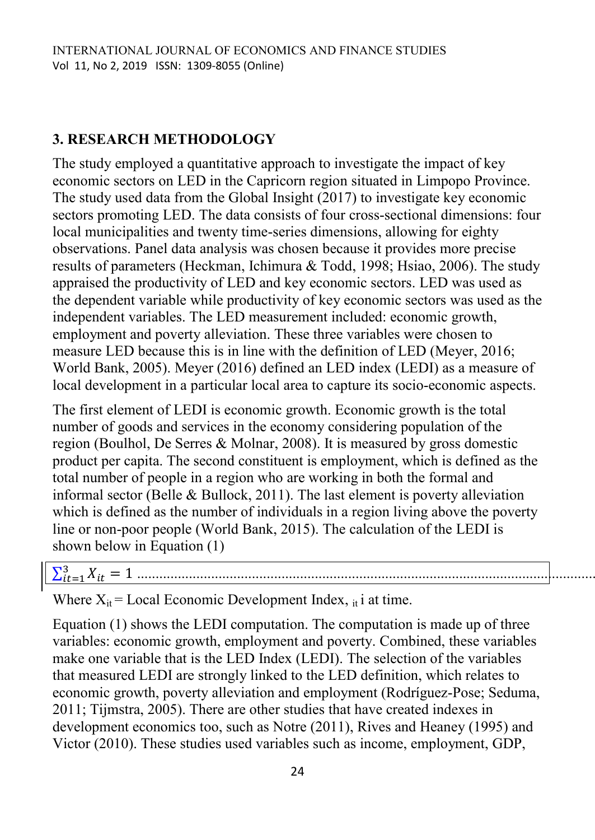### **3. RESEARCH METHODOLOGY**

The study employed a quantitative approach to investigate the impact of key economic sectors on LED in the Capricorn region situated in Limpopo Province. The study used data from the Global Insight (2017) to investigate key economic sectors promoting LED. The data consists of four cross-sectional dimensions: four local municipalities and twenty time-series dimensions, allowing for eighty observations. Panel data analysis was chosen because it provides more precise results of parameters (Heckman, Ichimura & Todd, 1998; Hsiao, 2006). The study appraised the productivity of LED and key economic sectors. LED was used as the dependent variable while productivity of key economic sectors was used as the independent variables. The LED measurement included: economic growth, employment and poverty alleviation. These three variables were chosen to measure LED because this is in line with the definition of LED (Meyer, 2016; World Bank, 2005). Meyer (2016) defined an LED index (LEDI) as a measure of local development in a particular local area to capture its socio-economic aspects.

The first element of LEDI is economic growth. Economic growth is the total number of goods and services in the economy considering population of the region (Boulhol, De Serres & Molnar, 2008). It is measured by gross domestic product per capita. The second constituent is employment, which is defined as the total number of people in a region who are working in both the formal and informal sector (Belle & Bullock, 2011). The last element is poverty alleviation which is defined as the number of individuals in a region living above the poverty line or non-poor people (World Bank, 2015). The calculation of the LEDI is shown below in Equation (1)

# ∑ ................................................................................................................................(1)

Where  $X_{it}$  = Local Economic Development Index,  $_{it}$  i at time.

Equation (1) shows the LEDI computation. The computation is made up of three variables: economic growth, employment and poverty. Combined, these variables make one variable that is the LED Index (LEDI). The selection of the variables that measured LEDI are strongly linked to the LED definition, which relates to economic growth, poverty alleviation and employment (Rodríguez-Pose; Seduma, 2011; Tijmstra, 2005). There are other studies that have created indexes in development economics too, such as Notre (2011), Rives and Heaney (1995) and Victor (2010). These studies used variables such as income, employment, GDP,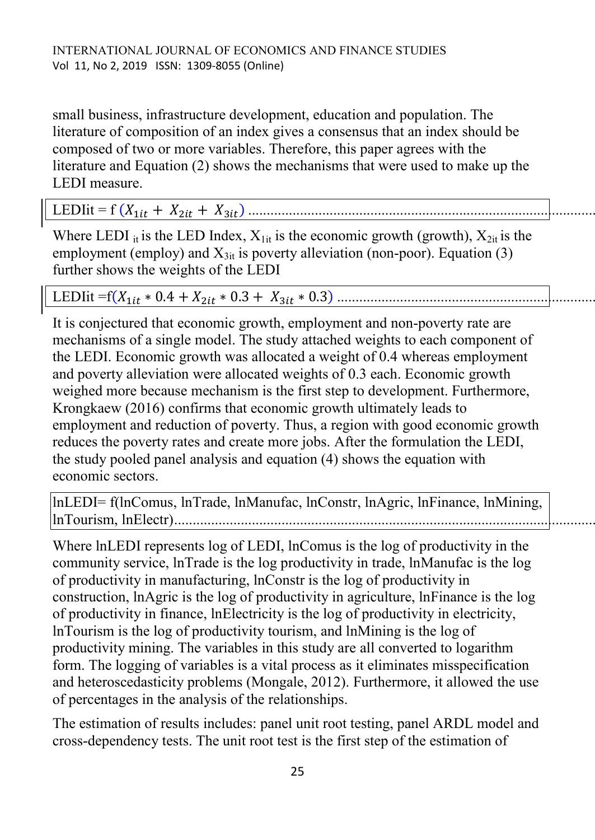small business, infrastructure development, education and population. The literature of composition of an index gives a consensus that an index should be composed of two or more variables. Therefore, this paper agrees with the literature and Equation (2) shows the mechanisms that were used to make up the LEDI measure.

# LEDIit = f ( ) ..................................................................................................(2)

Where LEDI it is the LED Index,  $X_{1it}$  is the economic growth (growth),  $X_{2it}$  is the employment (employ) and  $X_{3it}$  is poverty alleviation (non-poor). Equation (3) further shows the weights of the LEDI

# LEDIit =f( ) ..........................................................................(3)

It is conjectured that economic growth, employment and non-poverty rate are mechanisms of a single model. The study attached weights to each component of the LEDI. Economic growth was allocated a weight of 0.4 whereas employment and poverty alleviation were allocated weights of 0.3 each. Economic growth weighed more because mechanism is the first step to development. Furthermore, Krongkaew (2016) confirms that economic growth ultimately leads to employment and reduction of poverty. Thus, a region with good economic growth reduces the poverty rates and create more jobs. After the formulation the LEDI, the study pooled panel analysis and equation (4) shows the equation with economic sectors.

lnLEDI= f(lnComus, lnTrade, lnManufac, lnConstr, lnAgric, lnFinance, lnMining, lnTourism, lnElectr)......................................................................................................................(4)

Where lnLEDI represents log of LEDI, lnComus is the log of productivity in the community service, lnTrade is the log productivity in trade, lnManufac is the log of productivity in manufacturing, lnConstr is the log of productivity in construction, lnAgric is the log of productivity in agriculture, lnFinance is the log of productivity in finance, lnElectricity is the log of productivity in electricity, lnTourism is the log of productivity tourism, and lnMining is the log of productivity mining. The variables in this study are all converted to logarithm form. The logging of variables is a vital process as it eliminates misspecification and heteroscedasticity problems (Mongale, 2012). Furthermore, it allowed the use of percentages in the analysis of the relationships.

The estimation of results includes: panel unit root testing, panel ARDL model and cross-dependency tests. The unit root test is the first step of the estimation of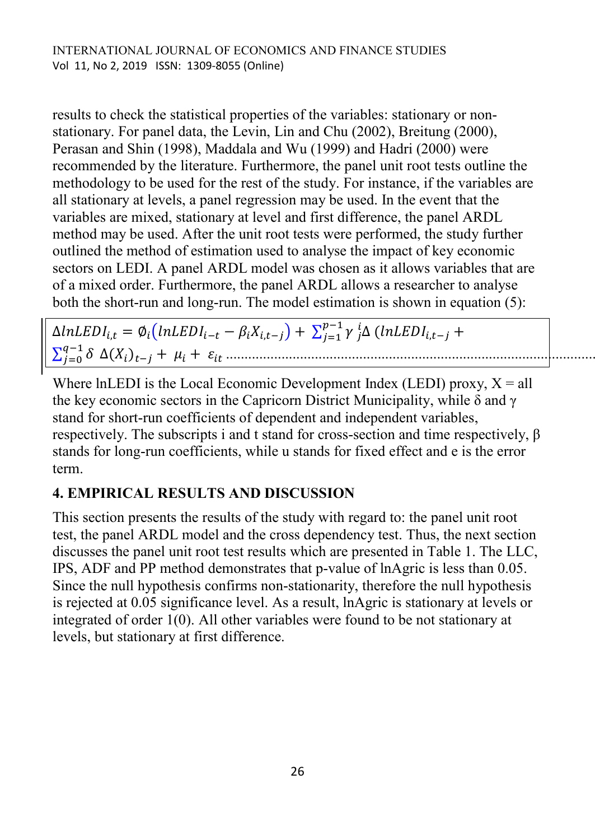results to check the statistical properties of the variables: stationary or nonstationary. For panel data, the Levin, Lin and Chu (2002), Breitung (2000), Perasan and Shin (1998), Maddala and Wu (1999) and Hadri (2000) were recommended by the literature. Furthermore, the panel unit root tests outline the methodology to be used for the rest of the study. For instance, if the variables are all stationary at levels, a panel regression may be used. In the event that the variables are mixed, stationary at level and first difference, the panel ARDL method may be used. After the unit root tests were performed, the study further outlined the method of estimation used to analyse the impact of key economic sectors on LEDI. A panel ARDL model was chosen as it allows variables that are of a mixed order. Furthermore, the panel ARDL allows a researcher to analyse both the short-run and long-run. The model estimation is shown in equation (5):

 $\Delta lnLEDI_{i,t} = \emptyset_i (lnLEDI_{i-t} - \beta_i X_{i,t-i}) + \sum_{i=1}^{p-1} \gamma_i$ j  $^i_i\Delta$  (  $l$  $\sum_{i=0}^{q-1} \delta$ ( ) ........................................................................................................(5)

Where lnLEDI is the Local Economic Development Index (LEDI) proxy,  $X = all$ the key economic sectors in the Capricorn District Municipality, while δ and γ stand for short-run coefficients of dependent and independent variables, respectively. The subscripts i and t stand for cross-section and time respectively, β stands for long-run coefficients, while u stands for fixed effect and e is the error term.

# **4. EMPIRICAL RESULTS AND DISCUSSION**

This section presents the results of the study with regard to: the panel unit root test, the panel ARDL model and the cross dependency test. Thus, the next section discusses the panel unit root test results which are presented in Table 1. The LLC, IPS, ADF and PP method demonstrates that p-value of lnAgric is less than 0.05. Since the null hypothesis confirms non-stationarity, therefore the null hypothesis is rejected at 0.05 significance level. As a result, lnAgric is stationary at levels or integrated of order 1(0). All other variables were found to be not stationary at levels, but stationary at first difference.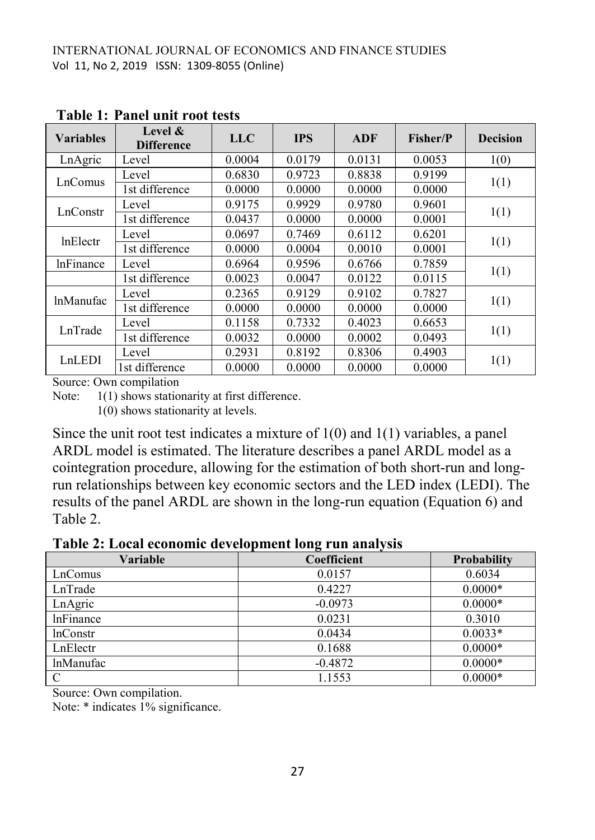| <b>Variables</b> | Level $\&$<br><b>Difference</b> | <b>LLC</b> | <b>IPS</b> | ADF    | Fisher/P | <b>Decision</b> |
|------------------|---------------------------------|------------|------------|--------|----------|-----------------|
| LnAgric          | Level                           | 0.0004     | 0.0179     | 0.0131 | 0.0053   | 1(0)            |
| LnComus          | Level                           | 0.6830     | 0.9723     | 0.8838 | 0.9199   | 1(1)            |
|                  | 1st difference                  | 0.0000     | 0.0000     | 0.0000 | 0.0000   |                 |
| LnConstr         | Level                           | 0.9175     | 0.9929     | 0.9780 | 0.9601   | 1(1)            |
|                  | 1st difference                  | 0.0437     | 0.0000     | 0.0000 | 0.0001   |                 |
| <b>InElectr</b>  | Level                           | 0.0697     | 0.7469     | 0.6112 | 0.6201   | 1(1)            |
|                  | 1st difference                  | 0.0000     | 0.0004     | 0.0010 | 0.0001   |                 |
| <b>InFinance</b> | Level                           | 0.6964     | 0.9596     | 0.6766 | 0.7859   |                 |
|                  | 1st difference                  | 0.0023     | 0.0047     | 0.0122 | 0.0115   | 1(1)            |
| <b>lnManufac</b> | Level                           | 0.2365     | 0.9129     | 0.9102 | 0.7827   | 1(1)            |
|                  | 1st difference                  | 0.0000     | 0.0000     | 0.0000 | 0.0000   |                 |
| LnTrade          | Level                           | 0.1158     | 0.7332     | 0.4023 | 0.6653   | 1(1)            |
|                  | 1st difference                  | 0.0032     | 0.0000     | 0.0002 | 0.0493   |                 |
| LnLEDI           | Level                           | 0.2931     | 0.8192     | 0.8306 | 0.4903   | 1(1)            |
|                  | 1st difference                  | 0.0000     | 0.0000     | 0.0000 | 0.0000   |                 |

**Table 1: Panel unit root tests**

Source: Own compilation

Note:  $1(1)$  shows stationarity at first difference.

1(0) shows stationarity at levels.

Since the unit root test indicates a mixture of 1(0) and 1(1) variables, a panel ARDL model is estimated. The literature describes a panel ARDL model as a cointegration procedure, allowing for the estimation of both short-run and longrun relationships between key economic sectors and the LED index (LEDI). The results of the panel ARDL are shown in the long-run equation (Equation 6) and Table 2.

**Table 2: Local economic development long run analysis**

| <b>Variable</b>  | $\overline{\phantom{a}}$<br>Coefficient | <b>Probability</b> |
|------------------|-----------------------------------------|--------------------|
| LnComus          | 0.0157                                  | 0.6034             |
| LnTrade          | 0.4227                                  | $0.0000*$          |
| LnAgric          | $-0.0973$                               | $0.0000*$          |
| lnFinance        | 0.0231                                  | 0.3010             |
| <b>lnConstr</b>  | 0.0434                                  | $0.0033*$          |
| LnElectr         | 0.1688                                  | $0.0000*$          |
| <b>lnManufac</b> | $-0.4872$                               | $0.0000*$          |
|                  | 1.1553                                  | $0.0000*$          |

Source: Own compilation.

Note: \* indicates 1% significance.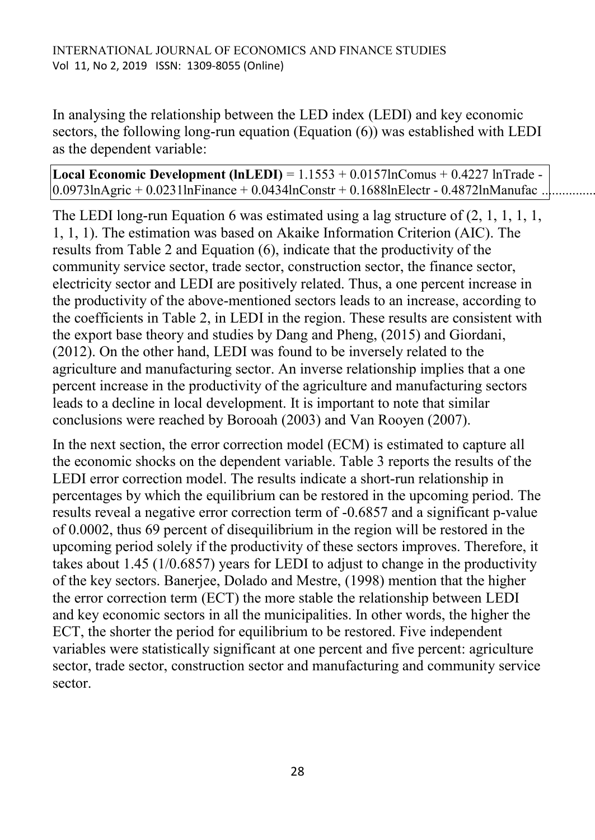In analysing the relationship between the LED index (LEDI) and key economic sectors, the following long-run equation (Equation (6)) was established with LEDI as the dependent variable:

**Local Economic Development (lnLEDI)** = 1.1553 + 0.0157lnComus + 0.4227 lnTrade -  $0.0973$ lnAgric + 0.0231lnFinance + 0.0434lnConstr + 0.1688lnElectr - 0.4872lnManufac...

The LEDI long-run Equation 6 was estimated using a lag structure of  $(2, 1, 1, 1, 1, 1)$ 1, 1, 1). The estimation was based on Akaike Information Criterion (AIC). The results from Table 2 and Equation (6), indicate that the productivity of the community service sector, trade sector, construction sector, the finance sector, electricity sector and LEDI are positively related. Thus, a one percent increase in the productivity of the above-mentioned sectors leads to an increase, according to the coefficients in Table 2, in LEDI in the region. These results are consistent with the export base theory and studies by Dang and Pheng, (2015) and Giordani, (2012). On the other hand, LEDI was found to be inversely related to the agriculture and manufacturing sector. An inverse relationship implies that a one percent increase in the productivity of the agriculture and manufacturing sectors leads to a decline in local development. It is important to note that similar conclusions were reached by Borooah (2003) and Van Rooyen (2007).

In the next section, the error correction model (ECM) is estimated to capture all the economic shocks on the dependent variable. Table 3 reports the results of the LEDI error correction model. The results indicate a short-run relationship in percentages by which the equilibrium can be restored in the upcoming period. The results reveal a negative error correction term of -0.6857 and a significant p-value of 0.0002, thus 69 percent of disequilibrium in the region will be restored in the upcoming period solely if the productivity of these sectors improves. Therefore, it takes about 1.45 (1/0.6857) years for LEDI to adjust to change in the productivity of the key sectors. Banerjee, Dolado and Mestre, (1998) mention that the higher the error correction term (ECT) the more stable the relationship between LEDI and key economic sectors in all the municipalities. In other words, the higher the ECT, the shorter the period for equilibrium to be restored. Five independent variables were statistically significant at one percent and five percent: agriculture sector, trade sector, construction sector and manufacturing and community service sector.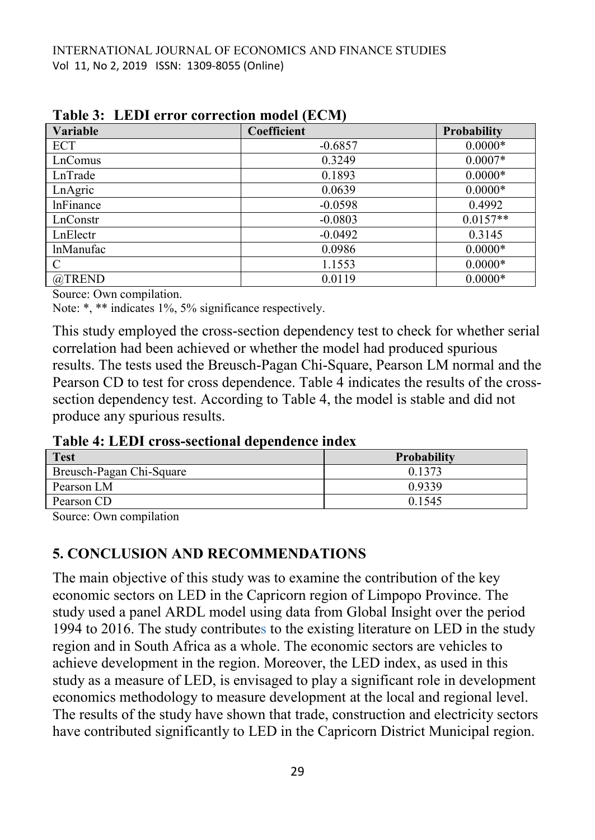| <b>Variable</b>  | Coefficient | <b>Probability</b> |
|------------------|-------------|--------------------|
| ECT              | $-0.6857$   | $0.0000*$          |
| LnComus          | 0.3249      | $0.0007*$          |
| LnTrade          | 0.1893      | $0.0000*$          |
| LnAgric          | 0.0639      | $0.0000*$          |
| <b>lnFinance</b> | $-0.0598$   | 0.4992             |
| LnConstr         | $-0.0803$   | $0.0157**$         |
| LnElectr         | $-0.0492$   | 0.3145             |
| <i>InManufac</i> | 0.0986      | $0.0000*$          |
| C                | 1.1553      | $0.0000*$          |
| @TREND           | 0.0119      | $0.0000*$          |

**Table 3: LEDI error correction model (ECM)**

Source: Own compilation.

Note: \*, \*\* indicates 1%, 5% significance respectively.

This study employed the cross-section dependency test to check for whether serial correlation had been achieved or whether the model had produced spurious results. The tests used the Breusch-Pagan Chi-Square, Pearson LM normal and the Pearson CD to test for cross dependence. Table 4 indicates the results of the crosssection dependency test. According to Table 4, the model is stable and did not produce any spurious results.

**Table 4: LEDI cross-sectional dependence index**

| <b>Test</b>              | Probability |  |  |
|--------------------------|-------------|--|--|
| Breusch-Pagan Chi-Square | 0.1373      |  |  |
| Pearson LM               | 0.9339      |  |  |
| Pearson CD               | 0.1545      |  |  |

Source: Own compilation

### **5. CONCLUSION AND RECOMMENDATIONS**

The main objective of this study was to examine the contribution of the key economic sectors on LED in the Capricorn region of Limpopo Province. The study used a panel ARDL model using data from Global Insight over the period 1994 to 2016. The study contributes to the existing literature on LED in the study region and in South Africa as a whole. The economic sectors are vehicles to achieve development in the region. Moreover, the LED index, as used in this study as a measure of LED, is envisaged to play a significant role in development economics methodology to measure development at the local and regional level. The results of the study have shown that trade, construction and electricity sectors have contributed significantly to LED in the Capricorn District Municipal region.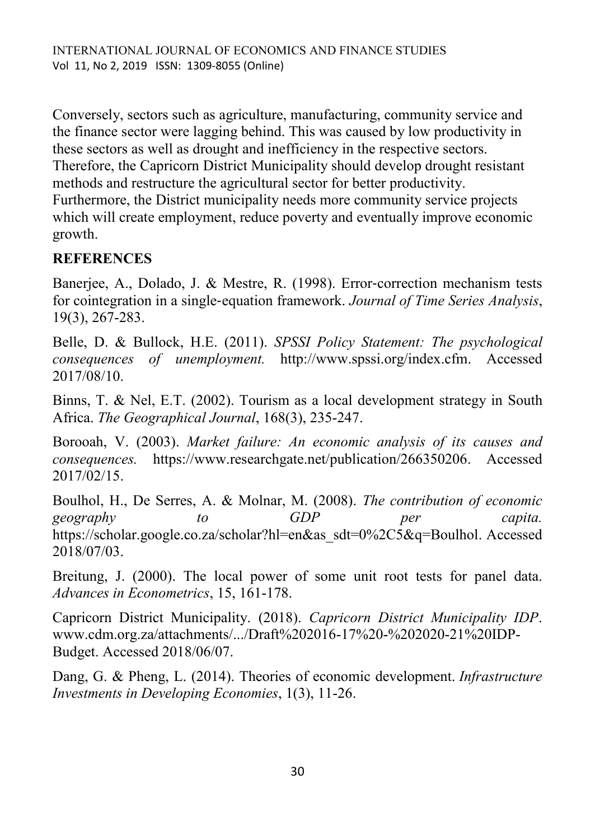Conversely, sectors such as agriculture, manufacturing, community service and the finance sector were lagging behind. This was caused by low productivity in these sectors as well as drought and inefficiency in the respective sectors. Therefore, the Capricorn District Municipality should develop drought resistant methods and restructure the agricultural sector for better productivity. Furthermore, the District municipality needs more community service projects which will create employment, reduce poverty and eventually improve economic growth.

# **REFERENCES**

Banerjee, A., Dolado, J. & Mestre, R. (1998). Error-correction mechanism tests for cointegration in a single‐equation framework. *Journal of Time Series Analysis*, 19(3), 267-283.

Belle, D. & Bullock, H.E. (2011). *SPSSI Policy Statement: The psychological consequences of unemployment.* http://www.spssi.org/index.cfm. Accessed 2017/08/10.

Binns, T. & Nel, E.T. (2002). Tourism as a local development strategy in South Africa. *The Geographical Journal*, 168(3), 235-247.

Borooah, V. (2003). *Market failure: An economic analysis of its causes and consequences.* [https://www.researchgate.net/publication/266350206.](https://www.researchgate.net/publication/266350206) Accessed 2017/02/15.

Boulhol, H., De Serres, A. & Molnar, M. (2008). *The contribution of economic geography to GDP per capita.* [https://scholar.google.co.za/scholar?hl=en&as\\_sdt=0%2C5&q=Boulhol.](https://scholar.google.co.za/scholar?hl=en&as_sdt=0%2C5&q=Boulhol) Accessed 2018/07/03.

Breitung, J. (2000). The local power of some unit root tests for panel data. *Advances in Econometrics*, 15, 161-178.

Capricorn District Municipality. (2018). *Capricorn District Municipality IDP*. [www.cdm.org.za/attachments/.../Draft%202016-17%20-%202020-21%20IDP-](http://www.cdm.org.za/attachments/.../Draft%202016-17%20-%202020-21%20IDP-Budget)[Budget.](http://www.cdm.org.za/attachments/.../Draft%202016-17%20-%202020-21%20IDP-Budget) Accessed 2018/06/07.

Dang, G. & Pheng, L. (2014). Theories of economic development. *Infrastructure Investments in Developing Economies*, 1(3), 11-26.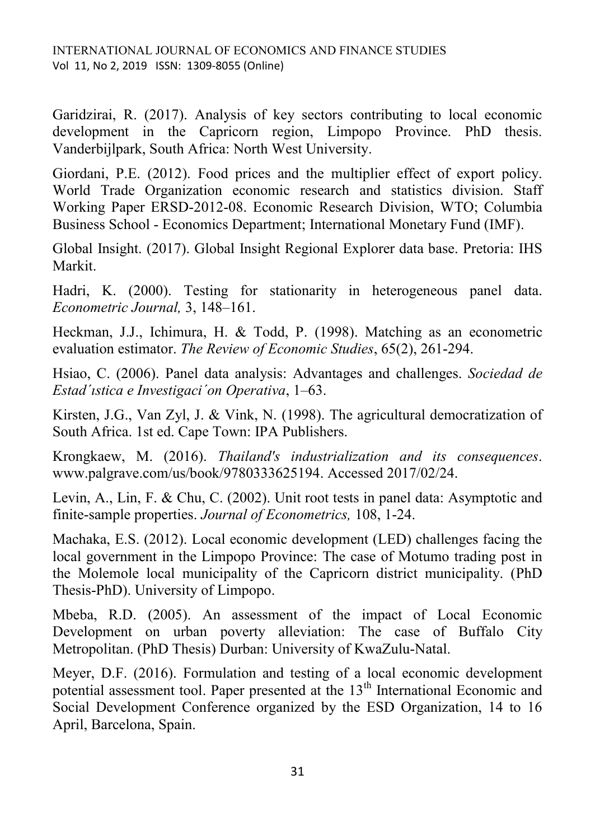Garidzirai, R. (2017). Analysis of key sectors contributing to local economic development in the Capricorn region, Limpopo Province. PhD thesis. Vanderbijlpark, South Africa: North West University.

Giordani, P.E. (2012). Food prices and the multiplier effect of export policy. World Trade Organization economic research and statistics division. Staff Working Paper ERSD-2012-08. Economic Research Division, WTO; Columbia Business School - Economics Department; International Monetary Fund (IMF).

Global Insight. (2017). Global Insight Regional Explorer data base. Pretoria: IHS Markit.

Hadri, K. (2000). Testing for stationarity in heterogeneous panel data. *Econometric Journal,* 3, 148–161.

Heckman, J.J., Ichimura, H. & Todd, P. (1998). Matching as an econometric evaluation estimator. *The Review of Economic Studies*, 65(2), 261-294.

Hsiao, C. (2006). Panel data analysis: Advantages and challenges. *Sociedad de Estad´ıstica e Investigaci´on Operativa*, 1–63.

Kirsten, J.G., Van Zyl, J. & Vink, N. (1998). The agricultural democratization of South Africa. 1st ed. Cape Town: IPA Publishers.

Krongkaew, M. (2016). *Thailand's industrialization and its consequences*. [www.palgrave.com/us/book/9780333625194.](http://www.palgrave.com/us/book/9780333625194) Accessed 2017/02/24.

Levin, A., Lin, F. & Chu, C. (2002). Unit root tests in panel data: Asymptotic and finite-sample properties. *Journal of Econometrics,* 108, 1-24.

Machaka, E.S. (2012). Local economic development (LED) challenges facing the local government in the Limpopo Province: The case of Motumo trading post in the Molemole local municipality of the Capricorn district municipality. (PhD Thesis-PhD). University of Limpopo.

Mbeba, R.D. (2005). An assessment of the impact of Local Economic Development on urban poverty alleviation: The case of Buffalo City Metropolitan. (PhD Thesis) Durban: University of KwaZulu-Natal.

Meyer, D.F. (2016). Formulation and testing of a local economic development potential assessment tool. Paper presented at the  $13<sup>th</sup>$  International Economic and Social Development Conference organized by the ESD Organization, 14 to 16 April, Barcelona, Spain.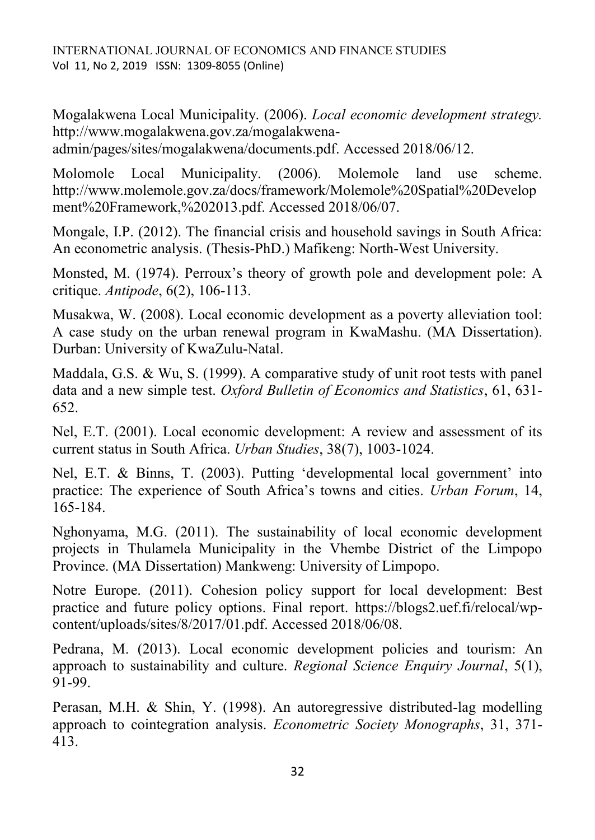Mogalakwena Local Municipality. (2006). *Local economic development strategy.* [http://www.mogalakwena.gov.za/mogalakwena](http://www.mogalakwena.gov.za/mogalakwena-admin/pages/sites/mogalakwena/documents.pdf)[admin/pages/sites/mogalakwena/documents.pdf.](http://www.mogalakwena.gov.za/mogalakwena-admin/pages/sites/mogalakwena/documents.pdf) Accessed 2018/06/12.

Molomole Local Municipality. (2006). Molemole land use scheme. [http://www.molemole.gov.za/docs/framework/Molemole%20Spatial%20Develop](http://www.molemole.gov.za/docs/framework/Molemole%20Spatial%20Development%20Framework,%202013.pdf) [ment%20Framework,%202013.pdf.](http://www.molemole.gov.za/docs/framework/Molemole%20Spatial%20Development%20Framework,%202013.pdf) Accessed 2018/06/07.

Mongale, I.P. (2012). The financial crisis and household savings in South Africa: An econometric analysis. (Thesis-PhD.) Mafikeng: North-West University.

Monsted, M. (1974). Perroux's theory of growth pole and development pole: A critique. *Antipode*, 6(2), 106-113.

Musakwa, W. (2008). Local economic development as a poverty alleviation tool: A case study on the urban renewal program in KwaMashu. (MA Dissertation). Durban: University of KwaZulu-Natal.

Maddala, G.S. & Wu, S. (1999). A comparative study of unit root tests with panel data and a new simple test. *Oxford Bulletin of Economics and Statistics*, 61, 631- 652.

Nel, E.T. (2001). Local economic development: A review and assessment of its current status in South Africa. *Urban Studies*, 38(7), 1003-1024.

Nel, E.T. & Binns, T. (2003). Putting 'developmental local government' into practice: The experience of South Africa's towns and cities. *Urban Forum*, 14, 165-184.

Nghonyama, M.G. (2011). The sustainability of local economic development projects in Thulamela Municipality in the Vhembe District of the Limpopo Province. (MA Dissertation) Mankweng: University of Limpopo.

Notre Europe. (2011). Cohesion policy support for local development: Best practice and future policy options. Final report. [https://blogs2.uef.fi/relocal/wp](https://blogs2.uef.fi/relocal/wp-content/uploads/sites/8/2017/01.pdf)[content/uploads/sites/8/2017/01.pdf.](https://blogs2.uef.fi/relocal/wp-content/uploads/sites/8/2017/01.pdf) Accessed 2018/06/08.

Pedrana, M. (2013). Local economic development policies and tourism: An approach to sustainability and culture. *Regional Science Enquiry Journal*, 5(1), 91-99.

Perasan, M.H. & Shin, Y. (1998). An autoregressive distributed-lag modelling approach to cointegration analysis. *Econometric Society Monographs*, 31, 371- 413.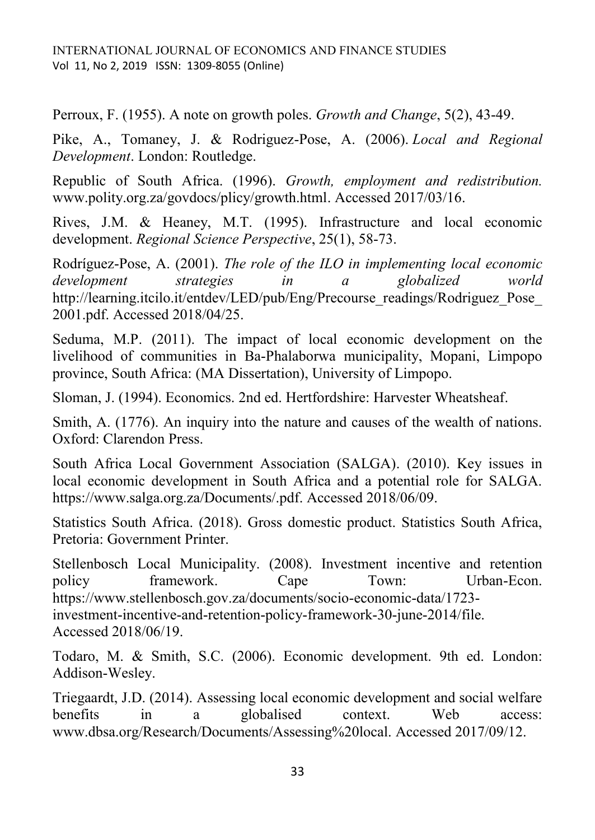Perroux, F. (1955). A note on growth poles. *Growth and Change*, 5(2), 43-49.

Pike, A., Tomaney, J. & Rodriguez-Pose, A. (2006). *Local and Regional Development*. London: Routledge.

Republic of South Africa. (1996). *Growth, employment and redistribution.* www.polity.org.za/govdocs/plicy/growth.html. Accessed 2017/03/16.

Rives, J.M. & Heaney, M.T. (1995). Infrastructure and local economic development. *Regional Science Perspective*, 25(1), 58-73.

Rodríguez-Pose, A. (2001). *The role of the ILO in implementing local economic development strategies in a globalized world* [http://learning.itcilo.it/entdev/LED/pub/Eng/Precourse\\_readings/Rodriguez\\_Pose\\_](http://learning.itcilo.it/entdev/LED/pub/Eng/Precourse_readings/Rodriguez_Pose_2001.pdf) [2001.pdf.](http://learning.itcilo.it/entdev/LED/pub/Eng/Precourse_readings/Rodriguez_Pose_2001.pdf) Accessed 2018/04/25.

Seduma, M.P. (2011). The impact of local economic development on the livelihood of communities in Ba-Phalaborwa municipality, Mopani, Limpopo province, South Africa: (MA Dissertation), University of Limpopo.

Sloman, J. (1994). Economics. 2nd ed. Hertfordshire: Harvester Wheatsheaf.

Smith, A. (1776). An inquiry into the nature and causes of the wealth of nations. Oxford: Clarendon Press.

South Africa Local Government Association (SALGA). (2010). Key issues in local economic development in South Africa and a potential role for SALGA. [https://www.salga.org.za/Documents/.pdf.](https://www.salga.org.za/Documents/.pdf) Accessed 2018/06/09.

Statistics South Africa. (2018). Gross domestic product. Statistics South Africa, Pretoria: Government Printer.

Stellenbosch Local Municipality. (2008). Investment incentive and retention policy framework. Cape Town: Urban-Econ. [https://www.stellenbosch.gov.za/documents/socio-economic-data/1723](https://www.stellenbosch.gov.za/documents/socio-economic-data/1723-investment-incentive-and-retention-policy-framework-30-june-2014/file) [investment-incentive-and-retention-policy-framework-30-june-2014/file.](https://www.stellenbosch.gov.za/documents/socio-economic-data/1723-investment-incentive-and-retention-policy-framework-30-june-2014/file) Accessed 2018/06/19.

Todaro, M. & Smith, S.C. (2006). Economic development. 9th ed. London: Addison-Wesley.

Triegaardt, J.D. (2014). Assessing local economic development and social welfare benefits in a globalised context. Web access: www.dbsa.org/Research/Documents/Assessing%20local. Accessed 2017/09/12.